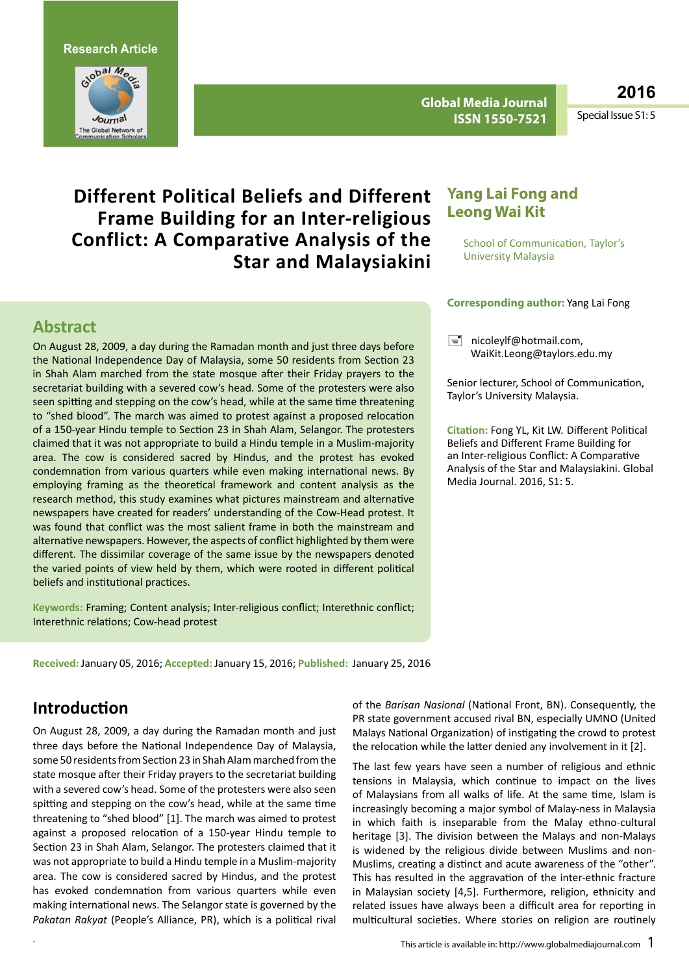**Research Article**



**Global Media Journal ISSN 1550-7521**

**2016**

Special Issue S1: 5

# **Different Political Beliefs and Different Frame Building for an Inter-religious Conflict: A Comparative Analysis of the Star and Malaysiakini**

### **Abstract**

On August 28, 2009, a day during the Ramadan month and just three days before the National Independence Day of Malaysia, some 50 residents from Section 23 in Shah Alam marched from the state mosque after their Friday prayers to the secretariat building with a severed cow's head. Some of the protesters were also seen spitting and stepping on the cow's head, while at the same time threatening to "shed blood". The march was aimed to protest against a proposed relocation of a 150-year Hindu temple to Section 23 in Shah Alam, Selangor. The protesters claimed that it was not appropriate to build a Hindu temple in a Muslim-majority area. The cow is considered sacred by Hindus, and the protest has evoked condemnation from various quarters while even making international news. By employing framing as the theoretical framework and content analysis as the research method, this study examines what pictures mainstream and alternative newspapers have created for readers' understanding of the Cow-Head protest. It was found that conflict was the most salient frame in both the mainstream and alternative newspapers. However, the aspects of conflict highlighted by them were different. The dissimilar coverage of the same issue by the newspapers denoted the varied points of view held by them, which were rooted in different political beliefs and institutional practices.

**Keywords:** Framing; Content analysis; Inter-religious conflict; Interethnic conflict; Interethnic relations; Cow-head protest

**Received:** January 05, 2016; **Accepted:** January 15, 2016; **Published:** January 25, 2016

### **Yang Lai Fong and Leong Wai Kit**

 School of Communication, Taylor's University Malaysia

#### **Corresponding author:** Yang Lai Fong

 $\equiv$  nicoleylf@hotmail.com. [WaiKit.Leong@taylors.edu.my](mailto:WaiKit.Leong@taylors.edu.my)

Senior lecturer, School of Communication, Taylor's University Malaysia.

**Citation:** Fong YL, Kit LW. Different Political Beliefs and Different Frame Building for an Inter-religious Conflict: A Comparative Analysis of the Star and Malaysiakini. Global Media Journal. 2016, S1: 5.

# **Introduction**

On August 28, 2009, a day during the Ramadan month and just three days before the National Independence Day of Malaysia, some 50 residents from Section 23 in Shah Alam marched from the state mosque after their Friday prayers to the secretariat building with a severed cow's head. Some of the protesters were also seen spitting and stepping on the cow's head, while at the same time threatening to "shed blood" [1]. The march was aimed to protest against a proposed relocation of a 150-year Hindu temple to Section 23 in Shah Alam, Selangor. The protesters claimed that it was not appropriate to build a Hindu temple in a Muslim-majority area. The cow is considered sacred by Hindus, and the protest has evoked condemnation from various quarters while even making international news. The Selangor state is governed by the *Pakatan Rakyat* (People's Alliance, PR), which is a political rival

of the *Barisan Nasional* (National Front, BN). Consequently, the PR state government accused rival BN, especially UMNO (United Malays National Organization) of instigating the crowd to protest the relocation while the latter denied any involvement in it [2].

The last few years have seen a number of religious and ethnic tensions in Malaysia, which continue to impact on the lives of Malaysians from all walks of life. At the same time, Islam is increasingly becoming a major symbol of Malay-ness in Malaysia in which faith is inseparable from the Malay ethno-cultural heritage [3]. The division between the Malays and non-Malays is widened by the religious divide between Muslims and non-Muslims, creating a distinct and acute awareness of the "other". This has resulted in the aggravation of the inter-ethnic fracture in Malaysian society [4,5]. Furthermore, religion, ethnicity and related issues have always been a difficult area for reporting in multicultural societies. Where stories on religion are routinely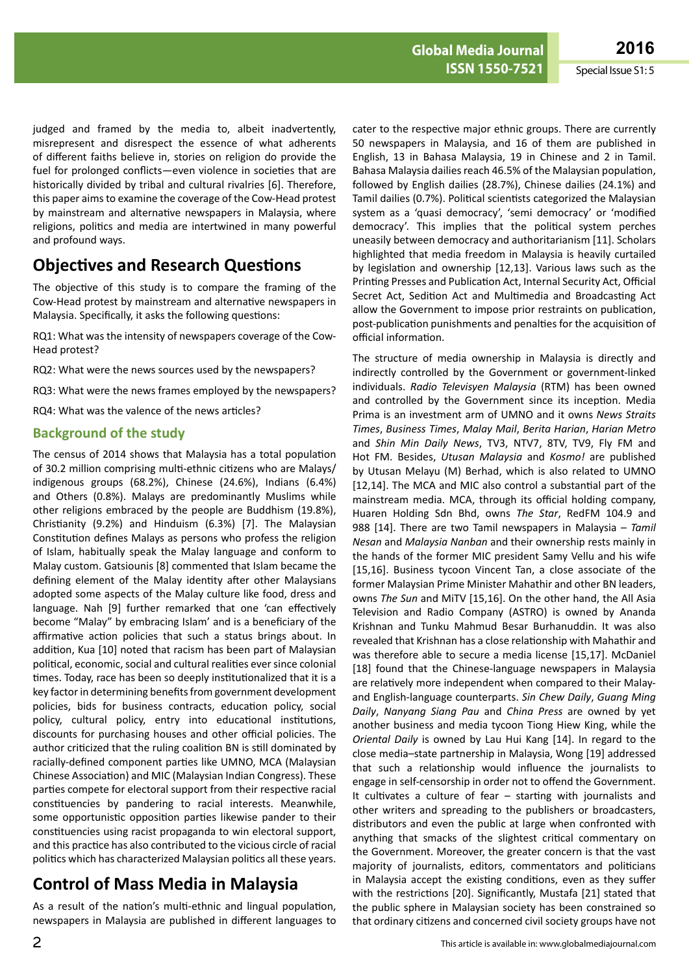judged and framed by the media to, albeit inadvertently, misrepresent and disrespect the essence of what adherents of different faiths believe in, stories on religion do provide the fuel for prolonged conflicts—even violence in societies that are historically divided by tribal and cultural rivalries [6]. Therefore, this paper aimsto examine the coverage of the Cow-Head protest by mainstream and alternative newspapers in Malaysia, where religions, politics and media are intertwined in many powerful and profound ways.

# **Objectives and Research Questions**

The objective of this study is to compare the framing of the Cow-Head protest by mainstream and alternative newspapers in Malaysia. Specifically, it asks the following questions:

RQ1: What was the intensity of newspapers coverage of the Cow-Head protest?

RQ2: What were the news sources used by the newspapers?

RQ3: What were the news frames employed by the newspapers?

RQ4: What was the valence of the news articles?

#### **Background of the study**

The census of 2014 shows that Malaysia has a total population of 30.2 million comprising multi-ethnic citizens who are Malays/ indigenous groups (68.2%), Chinese (24.6%), Indians (6.4%) and Others (0.8%). Malays are predominantly Muslims while other religions embraced by the people are Buddhism (19.8%), Christianity (9.2%) and Hinduism (6.3%) [7]. The Malaysian Constitution defines Malays as persons who profess the religion of Islam, habitually speak the Malay language and conform to Malay custom. Gatsiounis [8] commented that Islam became the defining element of the Malay identity after other Malaysians adopted some aspects of the Malay culture like food, dress and language. Nah [9] further remarked that one 'can effectively become "Malay" by embracing Islam' and is a beneficiary of the affirmative action policies that such a status brings about. In addition, Kua [10] noted that racism has been part of Malaysian political, economic, social and cultural realities ever since colonial times. Today, race has been so deeply institutionalized that it is a key factor in determining benefits from government development policies, bids for business contracts, education policy, social policy, cultural policy, entry into educational institutions, discounts for purchasing houses and other official policies. The author criticized that the ruling coalition BN is still dominated by racially-defined component parties like UMNO, MCA (Malaysian Chinese Association) and MIC (Malaysian Indian Congress). These parties compete for electoral support from their respective racial constituencies by pandering to racial interests. Meanwhile, some opportunistic opposition parties likewise pander to their constituencies using racist propaganda to win electoral support, and this practice has also contributed to the vicious circle of racial politics which has characterized Malaysian politics all these years.

# **Control of Mass Media in Malaysia**

As a result of the nation's multi-ethnic and lingual population, newspapers in Malaysia are published in different languages to

cater to the respective major ethnic groups. There are currently 50 newspapers in Malaysia, and 16 of them are published in English, 13 in Bahasa Malaysia, 19 in Chinese and 2 in Tamil. Bahasa Malaysia dailies reach 46.5% of the Malaysian population, followed by English dailies (28.7%), Chinese dailies (24.1%) and Tamil dailies (0.7%). Political scientists categorized the Malaysian system as a 'quasi democracy', 'semi democracy' or 'modified democracy'. This implies that the political system perches uneasily between democracy and authoritarianism [11]. Scholars highlighted that media freedom in Malaysia is heavily curtailed by legislation and ownership [12,13]. Various laws such as the Printing Presses and Publication Act, Internal Security Act, Official Secret Act, Sedition Act and Multimedia and Broadcasting Act allow the Government to impose prior restraints on publication, post-publication punishments and penalties for the acquisition of official information.

The structure of media ownership in Malaysia is directly and indirectly controlled by the Government or government-linked individuals. *Radio Televisyen Malaysia* (RTM) has been owned and controlled by the Government since its inception. Media Prima is an investment arm of UMNO and it owns *News Straits Times*, *Business Times*, *Malay Mail*, *Berita Harian*, *Harian Metro*  and *Shin Min Daily News*, TV3, NTV7, 8TV, TV9, Fly FM and Hot FM. Besides, *Utusan Malaysia* and *Kosmo!* are published by Utusan Melayu (M) Berhad, which is also related to UMNO [12,14]. The MCA and MIC also control a substantial part of the mainstream media. MCA, through its official holding company, Huaren Holding Sdn Bhd, owns *The Star*, RedFM 104.9 and 988 [14]. There are two Tamil newspapers in Malaysia – *Tamil Nesan* and *Malaysia Nanban* and their ownership rests mainly in the hands of the former MIC president Samy Vellu and his wife [15,16]. Business tycoon Vincent Tan, a close associate of the former Malaysian Prime Minister Mahathir and other BN leaders, owns *The Sun* and MiTV [15,16]. On the other hand, the All Asia Television and Radio Company (ASTRO) is owned by Ananda Krishnan and Tunku Mahmud Besar Burhanuddin. It was also revealed that Krishnan has a close relationship with Mahathir and was therefore able to secure a media license [15,17]. McDaniel [18] found that the Chinese-language newspapers in Malaysia are relatively more independent when compared to their Malayand English-language counterparts. *Sin Chew Daily*, *Guang Ming Daily*, *Nanyang Siang Pau* and *China Press* are owned by yet another business and media tycoon Tiong Hiew King, while the *Oriental Daily* is owned by Lau Hui Kang [14]. In regard to the close media–state partnership in Malaysia, Wong [19] addressed that such a relationship would influence the journalists to engage in self-censorship in order not to offend the Government. It cultivates a culture of fear – starting with journalists and other writers and spreading to the publishers or broadcasters, distributors and even the public at large when confronted with anything that smacks of the slightest critical commentary on the Government. Moreover, the greater concern is that the vast majority of journalists, editors, commentators and politicians in Malaysia accept the existing conditions, even as they suffer with the restrictions [20]. Significantly, Mustafa [21] stated that the public sphere in Malaysian society has been constrained so that ordinary citizens and concerned civil society groups have not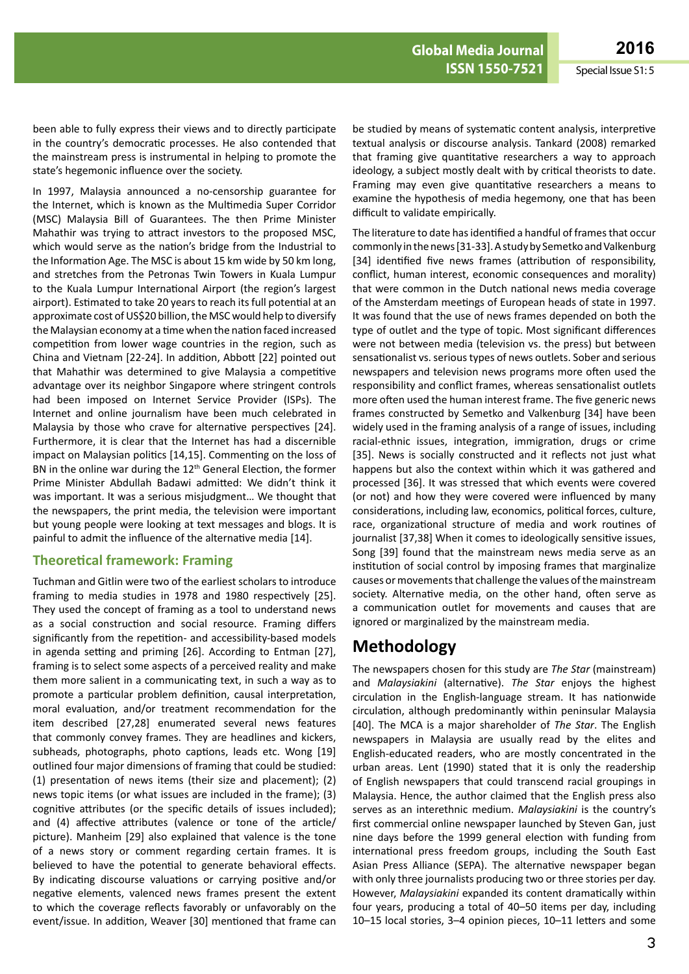been able to fully express their views and to directly participate in the country's democratic processes. He also contended that the mainstream press is instrumental in helping to promote the state's hegemonic influence over the society.

In 1997, Malaysia announced a no-censorship guarantee for the Internet, which is known as the Multimedia Super Corridor (MSC) Malaysia Bill of Guarantees. The then Prime Minister Mahathir was trying to attract investors to the proposed MSC, which would serve as the nation's bridge from the Industrial to the Information Age. The MSC is about 15 km wide by 50 km long, and stretches from the Petronas Twin Towers in Kuala Lumpur to the Kuala Lumpur International Airport (the region's largest airport). Estimated to take 20 years to reach its full potential at an approximate cost of US\$20 billion, the MSC would help to diversify the Malaysian economy at a time when the nation faced increased competition from lower wage countries in the region, such as China and Vietnam [22-24]. In addition, Abbott [22] pointed out that Mahathir was determined to give Malaysia a competitive advantage over its neighbor Singapore where stringent controls had been imposed on Internet Service Provider (ISPs). The Internet and online journalism have been much celebrated in Malaysia by those who crave for alternative perspectives [24]. Furthermore, it is clear that the Internet has had a discernible impact on Malaysian politics [14,15]. Commenting on the loss of BN in the online war during the 12<sup>th</sup> General Election, the former Prime Minister Abdullah Badawi admitted: We didn't think it was important. It was a serious misjudgment… We thought that the newspapers, the print media, the television were important but young people were looking at text messages and blogs. It is painful to admit the influence of the alternative media [14].

#### **Theoretical framework: Framing**

Tuchman and Gitlin were two of the earliest scholars to introduce framing to media studies in 1978 and 1980 respectively [25]. They used the concept of framing as a tool to understand news as a social construction and social resource. Framing differs significantly from the repetition- and accessibility-based models in agenda setting and priming [26]. According to Entman [27], framing is to select some aspects of a perceived reality and make them more salient in a communicating text, in such a way as to promote a particular problem definition, causal interpretation, moral evaluation, and/or treatment recommendation for the item described [27,28] enumerated several news features that commonly convey frames. They are headlines and kickers, subheads, photographs, photo captions, leads etc. Wong [19] outlined four major dimensions of framing that could be studied: (1) presentation of news items (their size and placement); (2) news topic items (or what issues are included in the frame); (3) cognitive attributes (or the specific details of issues included); and (4) affective attributes (valence or tone of the article/ picture). Manheim [29] also explained that valence is the tone of a news story or comment regarding certain frames. It is believed to have the potential to generate behavioral effects. By indicating discourse valuations or carrying positive and/or negative elements, valenced news frames present the extent to which the coverage reflects favorably or unfavorably on the event/issue. In addition, Weaver [30] mentioned that frame can

be studied by means of systematic content analysis, interpretive textual analysis or discourse analysis. Tankard (2008) remarked that framing give quantitative researchers a way to approach ideology, a subject mostly dealt with by critical theorists to date. Framing may even give quantitative researchers a means to examine the hypothesis of media hegemony, one that has been difficult to validate empirically.

The literature to date has identified a handful of frames that occur commonly in the news [31-33]. A study by Semetko and Valkenburg [34] identified five news frames (attribution of responsibility, conflict, human interest, economic consequences and morality) that were common in the Dutch national news media coverage of the Amsterdam meetings of European heads of state in 1997. It was found that the use of news frames depended on both the type of outlet and the type of topic. Most significant differences were not between media (television vs. the press) but between sensationalist vs. serious types of news outlets. Sober and serious newspapers and television news programs more often used the responsibility and conflict frames, whereas sensationalist outlets more often used the human interest frame. The five generic news frames constructed by Semetko and Valkenburg [34] have been widely used in the framing analysis of a range of issues, including racial-ethnic issues, integration, immigration, drugs or crime [35]. News is socially constructed and it reflects not just what happens but also the context within which it was gathered and processed [36]. It was stressed that which events were covered (or not) and how they were covered were influenced by many considerations, including law, economics, political forces, culture, race, organizational structure of media and work routines of journalist [37,38] When it comes to ideologically sensitive issues, Song [39] found that the mainstream news media serve as an institution of social control by imposing frames that marginalize causes or movements that challenge the values of the mainstream society. Alternative media, on the other hand, often serve as a communication outlet for movements and causes that are ignored or marginalized by the mainstream media.

# **Methodology**

The newspapers chosen for this study are *The Star* (mainstream) and *Malaysiakini* (alternative). *The Star* enjoys the highest circulation in the English-language stream. It has nationwide circulation, although predominantly within peninsular Malaysia [40]. The MCA is a major shareholder of *The Star*. The English newspapers in Malaysia are usually read by the elites and English-educated readers, who are mostly concentrated in the urban areas. Lent (1990) stated that it is only the readership of English newspapers that could transcend racial groupings in Malaysia. Hence, the author claimed that the English press also serves as an interethnic medium. *Malaysiakini* is the country's first commercial online newspaper launched by Steven Gan, just nine days before the 1999 general election with funding from international press freedom groups, including the South East Asian Press Alliance (SEPA). The alternative newspaper began with only three journalists producing two or three stories per day. However, *Malaysiakini* expanded its content dramatically within four years, producing a total of 40–50 items per day, including 10–15 local stories, 3–4 opinion pieces, 10–11 letters and some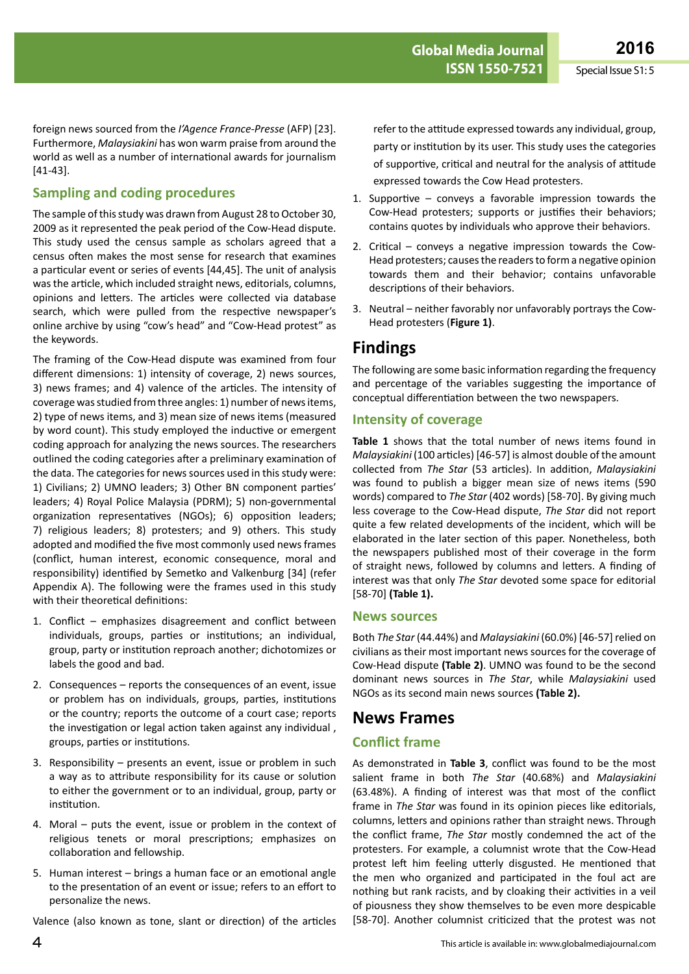foreign news sourced from the *I'Agence France-Presse* (AFP) [23]. Furthermore, *Malaysiakini* has won warm praise from around the world as well as a number of international awards for journalism [41-43].

#### **Sampling and coding procedures**

The sample of this study was drawn from August 28 to October 30, 2009 as it represented the peak period of the Cow-Head dispute. This study used the census sample as scholars agreed that a census often makes the most sense for research that examines a particular event or series of events [44,45]. The unit of analysis wasthe article, which included straight news, editorials, columns, opinions and letters. The articles were collected via database search, which were pulled from the respective newspaper's online archive by using "cow's head" and "Cow-Head protest" as the keywords.

The framing of the Cow-Head dispute was examined from four different dimensions: 1) intensity of coverage, 2) news sources, 3) news frames; and 4) valence of the articles. The intensity of coverage wasstudied fromthree angles: 1) number of newsitems, 2) type of news items, and 3) mean size of news items (measured by word count). This study employed the inductive or emergent coding approach for analyzing the news sources. The researchers outlined the coding categories after a preliminary examination of the data. The categories for news sources used in this study were: 1) Civilians; 2) UMNO leaders; 3) Other BN component parties' leaders; 4) Royal Police Malaysia (PDRM); 5) non-governmental organization representatives (NGOs); 6) opposition leaders; 7) religious leaders; 8) protesters; and 9) others. This study adopted and modified the five most commonly used news frames (conflict, human interest, economic consequence, moral and responsibility) identified by Semetko and Valkenburg [34] (refer Appendix A). The following were the frames used in this study with their theoretical definitions:

- 1. Conflict emphasizes disagreement and conflict between individuals, groups, parties or institutions; an individual, group, party or institution reproach another; dichotomizes or labels the good and bad.
- 2. Consequences reports the consequences of an event, issue or problem has on individuals, groups, parties, institutions or the country; reports the outcome of a court case; reports the investigation or legal action taken against any individual , groups, parties or institutions.
- 3. Responsibility  $-$  presents an event, issue or problem in such a way as to attribute responsibility for its cause or solution to either the government or to an individual, group, party or institution.
- 4. Moral puts the event, issue or problem in the context of religious tenets or moral prescriptions; emphasizes on collaboration and fellowship.
- 5. Human interest brings a human face or an emotional angle to the presentation of an event or issue; refers to an effort to personalize the news.

Valence (also known as tone, slant or direction) of the articles

refer to the attitude expressed towards any individual, group, party or institution by its user. This study uses the categories of supportive, critical and neutral for the analysis of attitude expressed towards the Cow Head protesters.

- 1. Supportive  $-$  conveys a favorable impression towards the Cow-Head protesters; supports or justifies their behaviors; contains quotes by individuals who approve their behaviors.
- 2. Critical conveys a negative impression towards the Cow-Head protesters; causesthe readersto forma negative opinion towards them and their behavior; contains unfavorable descriptions of their behaviors.
- 3. Neutral neither favorably nor unfavorably portrays the Cow-Head protesters (**Figure 1)**.

### **Findings**

The following are some basic information regarding the frequency and percentage of the variables suggesting the importance of conceptual differentiation between the two newspapers.

#### **Intensity of coverage**

**Table 1** shows that the total number of news items found in *Malaysiakini* (100 articles) [46-57] is almost double of the amount collected from *The Star* (53 articles). In addition, *Malaysiakini* was found to publish a bigger mean size of news items (590 words) compared to *The Star* (402 words) [58-70]. By giving much less coverage to the Cow-Head dispute, *The Star* did not report quite a few related developments of the incident, which will be elaborated in the later section of this paper. Nonetheless, both the newspapers published most of their coverage in the form of straight news, followed by columns and letters. A finding of interest was that only *The Star* devoted some space for editorial [58-70] **(Table 1).**

#### **News sources**

Both *The Star*(44.44%) and *Malaysiakini* (60.0%) [46-57]relied on civilians as their most important news sources for the coverage of Cow-Head dispute **(Table 2)**. UMNO was found to be the second dominant news sources in *The Star*, while *Malaysiakini* used NGOs as its second main news sources **(Table 2).**

### **News Frames**

### **Conflict frame**

As demonstrated in **Table 3**, conflict was found to be the most salient frame in both *The Star* (40.68%) and *Malaysiakini* (63.48%). A finding of interest was that most of the conflict frame in *The Star* was found in its opinion pieces like editorials, columns, letters and opinions rather than straight news. Through the conflict frame, *The Star* mostly condemned the act of the protesters. For example, a columnist wrote that the Cow-Head protest left him feeling utterly disgusted. He mentioned that the men who organized and participated in the foul act are nothing but rank racists, and by cloaking their activities in a veil of piousness they show themselves to be even more despicable [58-70]. Another columnist criticized that the protest was not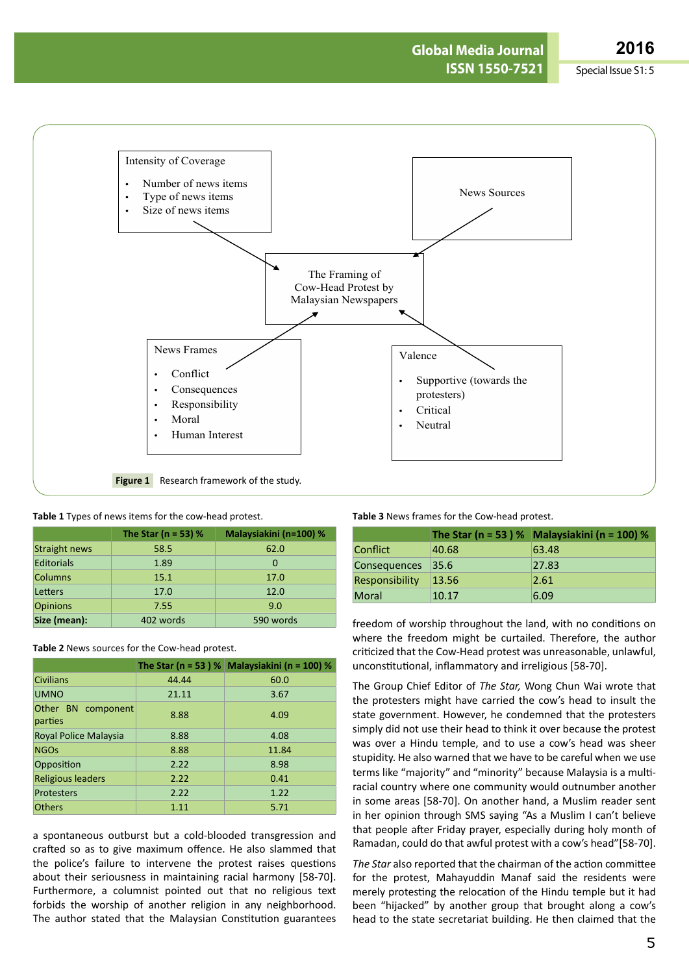**ARCHIVOS DE MEDICINA Global Media Journal 2016 ISSN 1550-7521** Special Issue S1: 5



|  |  | Table 1 Types of news items for the cow-head protest. |  |  |
|--|--|-------------------------------------------------------|--|--|
|--|--|-------------------------------------------------------|--|--|

|                      | The Star ( $n = 53$ ) % | Malaysiakini (n=100) % |
|----------------------|-------------------------|------------------------|
| <b>Straight news</b> | 58.5                    | 62.0                   |
| <b>Editorials</b>    | 1.89                    | 0                      |
| <b>Columns</b>       | 15.1                    | 17.0                   |
| Letters              | 17.0                    | 12.0                   |
| <b>Opinions</b>      | 7.55                    | 9.0                    |
| Size (mean):         | 402 words               | 590 words              |

**Table 2** News sources for the Cow-head protest.

|                               |       | The Star (n = 53 ) % Malaysiakini (n = 100) % |
|-------------------------------|-------|-----------------------------------------------|
| <b>Civilians</b>              | 44.44 | 60.0                                          |
| <b>UMNO</b>                   | 21.11 | 3.67                                          |
| Other BN component<br>parties | 8.88  | 4.09                                          |
| Royal Police Malaysia         | 8.88  | 4.08                                          |
| <b>NGOs</b>                   | 8.88  | 11.84                                         |
| Opposition                    | 2.22  | 8.98                                          |
| <b>Religious leaders</b>      | 2.22  | 0.41                                          |
| <b>Protesters</b>             | 2.22  | 1.22                                          |
| <b>Others</b>                 | 1.11  | 5.71                                          |

a spontaneous outburst but a cold-blooded transgression and crafted so as to give maximum offence. He also slammed that the police's failure to intervene the protest raises questions about their seriousness in maintaining racial harmony [58-70]. Furthermore, a columnist pointed out that no religious text forbids the worship of another religion in any neighborhood. The author stated that the Malaysian Constitution guarantees

**Table 3** News frames for the Cow-head protest.

|                     |       | The Star (n = 53 ) % Malaysiakini (n = 100) % |
|---------------------|-------|-----------------------------------------------|
| Conflict            | 40.68 | 63.48                                         |
| <b>Consequences</b> | 35.6  | 27.83                                         |
| Responsibility      | 13.56 | 2.61                                          |
| <b>Moral</b>        | 10.17 | 6.09                                          |

freedom of worship throughout the land, with no conditions on where the freedom might be curtailed. Therefore, the author criticized that the Cow-Head protest was unreasonable, unlawful, unconstitutional, inflammatory and irreligious [58-70].

The Group Chief Editor of *The Star,* Wong Chun Wai wrote that the protesters might have carried the cow's head to insult the state government. However, he condemned that the protesters simply did not use their head to think it over because the protest was over a Hindu temple, and to use a cow's head was sheer stupidity. He also warned that we have to be careful when we use terms like "majority" and "minority" because Malaysia is a multiracial country where one community would outnumber another in some areas [58-70]. On another hand, a Muslim reader sent in her opinion through SMS saying "As a Muslim I can't believe that people after Friday prayer, especially during holy month of Ramadan, could do that awful protest with a cow's head"[58-70].

*The Star* also reported that the chairman of the action committee for the protest, Mahayuddin Manaf said the residents were merely protesting the relocation of the Hindu temple but it had been "hijacked" by another group that brought along a cow's head to the state secretariat building. He then claimed that the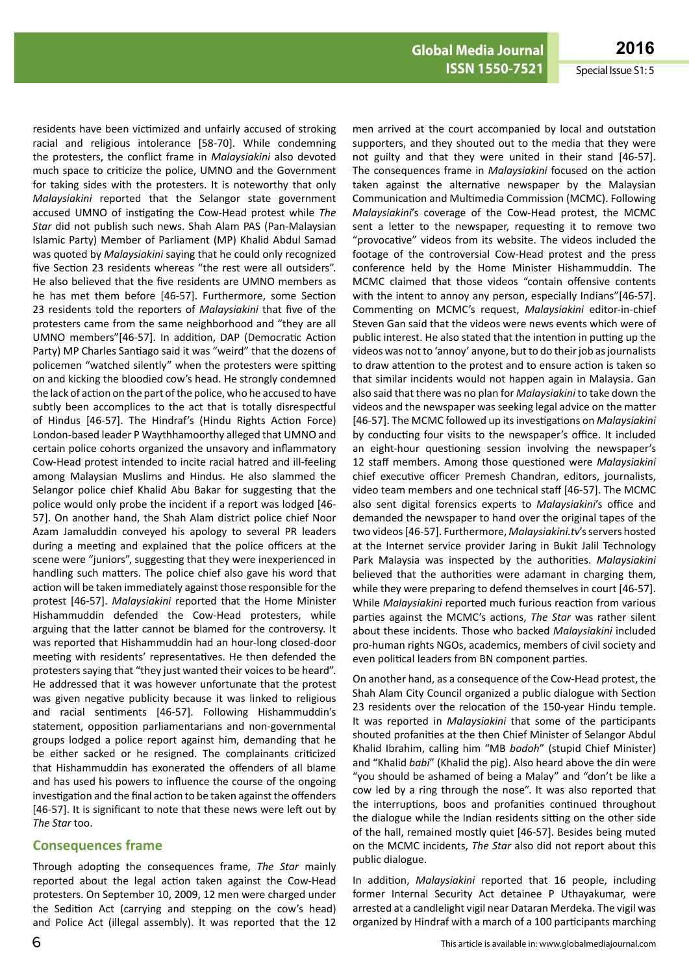men arrived at the court accompanied by local and outstation supporters, and they shouted out to the media that they were not guilty and that they were united in their stand [46-57]. The consequences frame in *Malaysiakini* focused on the action taken against the alternative newspaper by the Malaysian Communication and Multimedia Commission (MCMC). Following *Malaysiakini*'s coverage of the Cow-Head protest, the MCMC sent a letter to the newspaper, requesting it to remove two "provocative" videos from its website. The videos included the footage of the controversial Cow-Head protest and the press conference held by the Home Minister Hishammuddin. The MCMC claimed that those videos "contain offensive contents with the intent to annoy any person, especially Indians"[46-57]. Commenting on MCMC's request, *Malaysiakini* editor-in-chief Steven Gan said that the videos were news events which were of public interest. He also stated that the intention in putting up the videos was not to 'annoy' anyone, but to do their job as journalists to draw attention to the protest and to ensure action is taken so that similar incidents would not happen again in Malaysia. Gan also said that there was no plan for *Malaysiakini* to take down the videos and the newspaper was seeking legal advice on the matter

residents have been victimized and unfairly accused of stroking racial and religious intolerance [58-70]. While condemning the protesters, the conflict frame in *Malaysiakini* also devoted much space to criticize the police, UMNO and the Government for taking sides with the protesters. It is noteworthy that only *Malaysiakini* reported that the Selangor state government accused UMNO of instigating the Cow-Head protest while *The Star* did not publish such news. Shah Alam PAS (Pan-Malaysian Islamic Party) Member of Parliament (MP) Khalid Abdul Samad was quoted by *Malaysiakini* saying that he could only recognized five Section 23 residents whereas "the rest were all outsiders". He also believed that the five residents are UMNO members as he has met them before [46-57]. Furthermore, some Section 23 residents told the reporters of *Malaysiakini* that five of the protesters came from the same neighborhood and "they are all UMNO members"[46-57]. In addition, DAP (Democratic Action Party) MP Charles Santiago said it was "weird" that the dozens of policemen "watched silently" when the protesters were spitting on and kicking the bloodied cow's head. He strongly condemned the lack of action on the part of the police, who he accused to have subtly been accomplices to the act that is totally disrespectful of Hindus [46-57]. The Hindraf's (Hindu Rights Action Force) London-based leader P Waythhamoorthy alleged that UMNO and certain police cohorts organized the unsavory and inflammatory Cow-Head protest intended to incite racial hatred and ill-feeling among Malaysian Muslims and Hindus. He also slammed the Selangor police chief Khalid Abu Bakar for suggesting that the police would only probe the incident if a report was lodged [46- 57]. On another hand, the Shah Alam district police chief Noor Azam Jamaluddin conveyed his apology to several PR leaders during a meeting and explained that the police officers at the scene were "juniors", suggesting that they were inexperienced in handling such matters. The police chief also gave his word that action will be taken immediately against those responsible for the protest [46-57]. *Malaysiakini* reported that the Home Minister Hishammuddin defended the Cow-Head protesters, while arguing that the latter cannot be blamed for the controversy. It was reported that Hishammuddin had an hour-long closed-door meeting with residents' representatives. He then defended the protesters saying that "they just wanted their voices to be heard". He addressed that it was however unfortunate that the protest was given negative publicity because it was linked to religious and racial sentiments [46-57]. Following Hishammuddin's statement, opposition parliamentarians and non-governmental groups lodged a police report against him, demanding that he be either sacked or he resigned. The complainants criticized that Hishammuddin has exonerated the offenders of all blame and has used his powers to influence the course of the ongoing investigation and the final action to be taken against the offenders [46-57]. It is significant to note that these news were left out by *The Star* too.

#### **Consequences frame**

Through adopting the consequences frame, *The Star* mainly reported about the legal action taken against the Cow-Head protesters. On September 10, 2009, 12 men were charged under the Sedition Act (carrying and stepping on the cow's head) and Police Act (illegal assembly). It was reported that the 12 [46-57]. The MCMC followed up itsinvestigations on *Malaysiakini* by conducting four visits to the newspaper's office. It included an eight-hour questioning session involving the newspaper's 12 staff members. Among those questioned were *Malaysiakini* chief executive officer Premesh Chandran, editors, journalists, video team members and one technical staff [46-57]. The MCMC also sent digital forensics experts to *Malaysiakini*'s office and demanded the newspaper to hand over the original tapes of the two videos [46-57]. Furthermore, *Malaysiakini.tv's* servers hosted at the Internet service provider Jaring in Bukit Jalil Technology Park Malaysia was inspected by the authorities. *Malaysiakini* believed that the authorities were adamant in charging them, while they were preparing to defend themselves in court [46-57]. While *Malaysiakini* reported much furious reaction from various parties against the MCMC's actions, *The Star* was rather silent about these incidents. Those who backed *Malaysiakini* included pro-human rights NGOs, academics, members of civil society and even political leaders from BN component parties. On another hand, as a consequence of the Cow-Head protest, the Shah Alam City Council organized a public dialogue with Section 23 residents over the relocation of the 150-year Hindu temple. It was reported in *Malaysiakini* that some of the participants shouted profanities at the then Chief Minister of Selangor Abdul Khalid Ibrahim, calling him "MB *bodoh*" (stupid Chief Minister) and "Khalid *babi*" (Khalid the pig). Also heard above the din were "you should be ashamed of being a Malay" and "don't be like a cow led by a ring through the nose". It was also reported that the interruptions, boos and profanities continued throughout the dialogue while the Indian residents sitting on the other side of the hall, remained mostly quiet [46-57]. Besides being muted on the MCMC incidents, *The Star* also did not report about this public dialogue.

In addition, *Malaysiakini* reported that 16 people, including former Internal Security Act detainee P Uthayakumar, were arrested at a candlelight vigil near Dataran Merdeka. The vigil was organized by Hindraf with a march of a 100 participants marching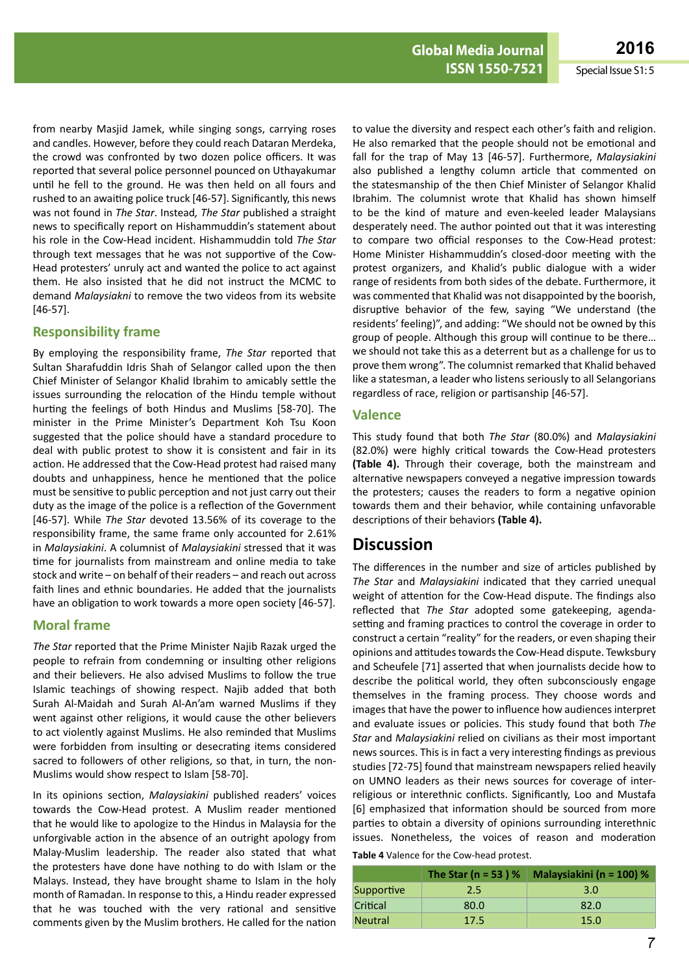from nearby Masjid Jamek, while singing songs, carrying roses and candles. However, before they could reach Dataran Merdeka, the crowd was confronted by two dozen police officers. It was reported that several police personnel pounced on Uthayakumar until he fell to the ground. He was then held on all fours and rushed to an awaiting police truck [46-57]. Significantly, this news was not found in *The Star*. Instead*, The Star* published a straight news to specifically report on Hishammuddin's statement about his role in the Cow-Head incident. Hishammuddin told *The Star* through text messages that he was not supportive of the Cow-Head protesters' unruly act and wanted the police to act against them. He also insisted that he did not instruct the MCMC to demand *Malaysiakni* to remove the two videos from its website [46-57].

#### **Responsibility frame**

By employing the responsibility frame, *The Star* reported that Sultan Sharafuddin Idris Shah of Selangor called upon the then Chief Minister of Selangor Khalid Ibrahim to amicably settle the issues surrounding the relocation of the Hindu temple without hurting the feelings of both Hindus and Muslims [58-70]. The minister in the Prime Minister's Department Koh Tsu Koon suggested that the police should have a standard procedure to deal with public protest to show it is consistent and fair in its action. He addressed that the Cow-Head protest had raised many doubts and unhappiness, hence he mentioned that the police must be sensitive to public perception and not just carry out their duty as the image of the police is a reflection of the Government [46-57]. While *The Star* devoted 13.56% of its coverage to the responsibility frame, the same frame only accounted for 2.61% in *Malaysiakini*. A columnist of *Malaysiakini* stressed that it was time for journalists from mainstream and online media to take stock and write – on behalf of their readers – and reach out across faith lines and ethnic boundaries. He added that the journalists have an obligation to work towards a more open society [46-57].

#### **Moral frame**

*The Star* reported that the Prime Minister Najib Razak urged the people to refrain from condemning or insulting other religions and their believers. He also advised Muslims to follow the true Islamic teachings of showing respect. Najib added that both Surah Al-Maidah and Surah Al-An'am warned Muslims if they went against other religions, it would cause the other believers to act violently against Muslims. He also reminded that Muslims were forbidden from insulting or desecrating items considered sacred to followers of other religions, so that, in turn, the non-Muslims would show respect to Islam [58-70].

In its opinions section, *Malaysiakini* published readers' voices towards the Cow-Head protest. A Muslim reader mentioned that he would like to apologize to the Hindus in Malaysia for the unforgivable action in the absence of an outright apology from Malay-Muslim leadership. The reader also stated that what the protesters have done have nothing to do with Islam or the Malays. Instead, they have brought shame to Islam in the holy month of Ramadan. In response to this, a Hindu reader expressed that he was touched with the very rational and sensitive comments given by the Muslim brothers. He called for the nation to value the diversity and respect each other's faith and religion. He also remarked that the people should not be emotional and fall for the trap of May 13 [46-57]. Furthermore, *Malaysiakini*  also published a lengthy column article that commented on the statesmanship of the then Chief Minister of Selangor Khalid Ibrahim. The columnist wrote that Khalid has shown himself to be the kind of mature and even-keeled leader Malaysians desperately need. The author pointed out that it was interesting to compare two official responses to the Cow-Head protest: Home Minister Hishammuddin's closed-door meeting with the protest organizers, and Khalid's public dialogue with a wider range of residents from both sides of the debate. Furthermore, it was commented that Khalid was not disappointed by the boorish, disruptive behavior of the few, saying "We understand (the residents' feeling)", and adding: "We should not be owned by this group of people. Although this group will continue to be there… we should not take this as a deterrent but as a challenge for us to prove them wrong". The columnist remarked that Khalid behaved like a statesman, a leader who listens seriously to all Selangorians regardless of race, religion or partisanship [46-57].

#### **Valence**

This study found that both *The Star* (80.0%) and *Malaysiakini* (82.0%) were highly critical towards the Cow-Head protesters **(Table 4).** Through their coverage, both the mainstream and alternative newspapers conveyed a negative impression towards the protesters; causes the readers to form a negative opinion towards them and their behavior, while containing unfavorable descriptions of their behaviors **(Table 4).**

### **Discussion**

The differences in the number and size of articles published by *The Star* and *Malaysiakini* indicated that they carried unequal weight of attention for the Cow-Head dispute. The findings also reflected that *The Star* adopted some gatekeeping, agendasetting and framing practices to control the coverage in order to construct a certain "reality" for the readers, or even shaping their opinions and attitudes towards the Cow-Head dispute. Tewksbury and Scheufele [71] asserted that when journalists decide how to describe the political world, they often subconsciously engage themselves in the framing process. They choose words and images that have the power to influence how audiences interpret and evaluate issues or policies. This study found that both *The Star* and *Malaysiakini* relied on civilians as their most important news sources. This is in fact a very interesting findings as previous studies [72-75] found that mainstream newspapers relied heavily on UMNO leaders as their news sources for coverage of interreligious or interethnic conflicts. Significantly, Loo and Mustafa [6] emphasized that information should be sourced from more parties to obtain a diversity of opinions surrounding interethnic issues. Nonetheless, the voices of reason and moderation

| Table 4 Valence for the Cow-head protest. |  |
|-------------------------------------------|--|
|-------------------------------------------|--|

|            | The Star ( $n = 53$ ) % | Malaysiakini (n = 100) % |
|------------|-------------------------|--------------------------|
| Supportive | 2.5                     | 3.0                      |
| Critical   | 80.0                    | 82.0                     |
| Neutral    | 17.5                    | 15.0                     |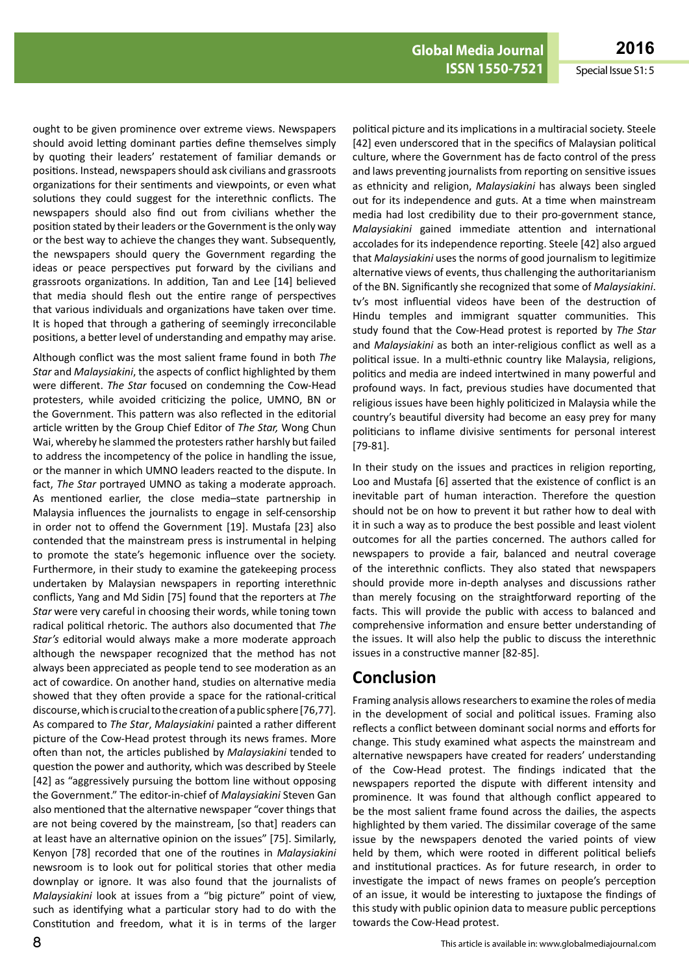ought to be given prominence over extreme views. Newspapers should avoid letting dominant parties define themselves simply by quoting their leaders' restatement of familiar demands or positions. Instead, newspapersshould ask civilians and grassroots organizations for their sentiments and viewpoints, or even what solutions they could suggest for the interethnic conflicts. The newspapers should also find out from civilians whether the position stated by their leaders or the Government is the only way or the best way to achieve the changes they want. Subsequently, the newspapers should query the Government regarding the ideas or peace perspectives put forward by the civilians and grassroots organizations. In addition, Tan and Lee [14] believed that media should flesh out the entire range of perspectives that various individuals and organizations have taken over time. It is hoped that through a gathering of seemingly irreconcilable positions, a better level of understanding and empathy may arise.

Although conflict was the most salient frame found in both *The Star* and *Malaysiakini*, the aspects of conflict highlighted by them were different. *The Star* focused on condemning the Cow-Head protesters, while avoided criticizing the police, UMNO, BN or the Government. This pattern was also reflected in the editorial article written by the Group Chief Editor of *The Star,* Wong Chun Wai, whereby he slammed the protesters rather harshly but failed to address the incompetency of the police in handling the issue, or the manner in which UMNO leaders reacted to the dispute. In fact, *The Star* portrayed UMNO as taking a moderate approach. As mentioned earlier, the close media–state partnership in Malaysia influences the journalists to engage in self-censorship in order not to offend the Government [19]. Mustafa [23] also contended that the mainstream press is instrumental in helping to promote the state's hegemonic influence over the society. Furthermore, in their study to examine the gatekeeping process undertaken by Malaysian newspapers in reporting interethnic conflicts, Yang and Md Sidin [75] found that the reporters at *The Star* were very careful in choosing their words, while toning town radical political rhetoric. The authors also documented that *The Star's* editorial would always make a more moderate approach although the newspaper recognized that the method has not always been appreciated as people tend to see moderation as an act of cowardice. On another hand, studies on alternative media showed that they often provide a space for the rational-critical discourse,whichis crucialtothecreationofapublic sphere[76,77]. As compared to *The Star*, *Malaysiakini* painted a rather different picture of the Cow-Head protest through its news frames. More often than not, the articles published by *Malaysiakini* tended to question the power and authority, which was described by Steele [42] as "aggressively pursuing the bottom line without opposing the Government." The editor-in-chief of *Malaysiakini* Steven Gan also mentioned that the alternative newspaper "cover things that are not being covered by the mainstream, [so that] readers can at least have an alternative opinion on the issues" [75]. Similarly, Kenyon [78] recorded that one of the routines in *Malaysiakini* newsroom is to look out for political stories that other media downplay or ignore. It was also found that the journalists of *Malaysiakini* look at issues from a "big picture" point of view, such as identifying what a particular story had to do with the Constitution and freedom, what it is in terms of the larger

political picture and its implications in a multiracial society. Steele [42] even underscored that in the specifics of Malaysian political culture, where the Government has de facto control of the press and laws preventing journalists from reporting on sensitive issues as ethnicity and religion, *Malaysiakini* has always been singled out for its independence and guts. At a time when mainstream media had lost credibility due to their pro-government stance, *Malaysiakini* gained immediate attention and international accolades for its independence reporting. Steele [42] also argued that *Malaysiakini* uses the norms of good journalism to legitimize alternative views of events, thus challenging the authoritarianism of the BN. Significantly she recognized that some of *Malaysiakini*. tv's most influential videos have been of the destruction of Hindu temples and immigrant squatter communities. This study found that the Cow-Head protest is reported by *The Star* and *Malaysiakini* as both an inter-religious conflict as well as a political issue. In a multi-ethnic country like Malaysia, religions, politics and media are indeed intertwined in many powerful and profound ways. In fact, previous studies have documented that religious issues have been highly politicized in Malaysia while the country's beautiful diversity had become an easy prey for many politicians to inflame divisive sentiments for personal interest [79-81].

In their study on the issues and practices in religion reporting, Loo and Mustafa [6] asserted that the existence of conflict is an inevitable part of human interaction. Therefore the question should not be on how to prevent it but rather how to deal with it in such a way as to produce the best possible and least violent outcomes for all the parties concerned. The authors called for newspapers to provide a fair, balanced and neutral coverage of the interethnic conflicts. They also stated that newspapers should provide more in-depth analyses and discussions rather than merely focusing on the straightforward reporting of the facts. This will provide the public with access to balanced and comprehensive information and ensure better understanding of the issues. It will also help the public to discuss the interethnic issues in a constructive manner [82-85].

### **Conclusion**

Framing analysis allows researchers to examine the roles of media in the development of social and political issues. Framing also reflects a conflict between dominant social norms and efforts for change. This study examined what aspects the mainstream and alternative newspapers have created for readers' understanding of the Cow-Head protest. The findings indicated that the newspapers reported the dispute with different intensity and prominence. It was found that although conflict appeared to be the most salient frame found across the dailies, the aspects highlighted by them varied. The dissimilar coverage of the same issue by the newspapers denoted the varied points of view held by them, which were rooted in different political beliefs and institutional practices. As for future research, in order to investigate the impact of news frames on people's perception of an issue, it would be interesting to juxtapose the findings of thisstudy with public opinion data to measure public perceptions towards the Cow-Head protest.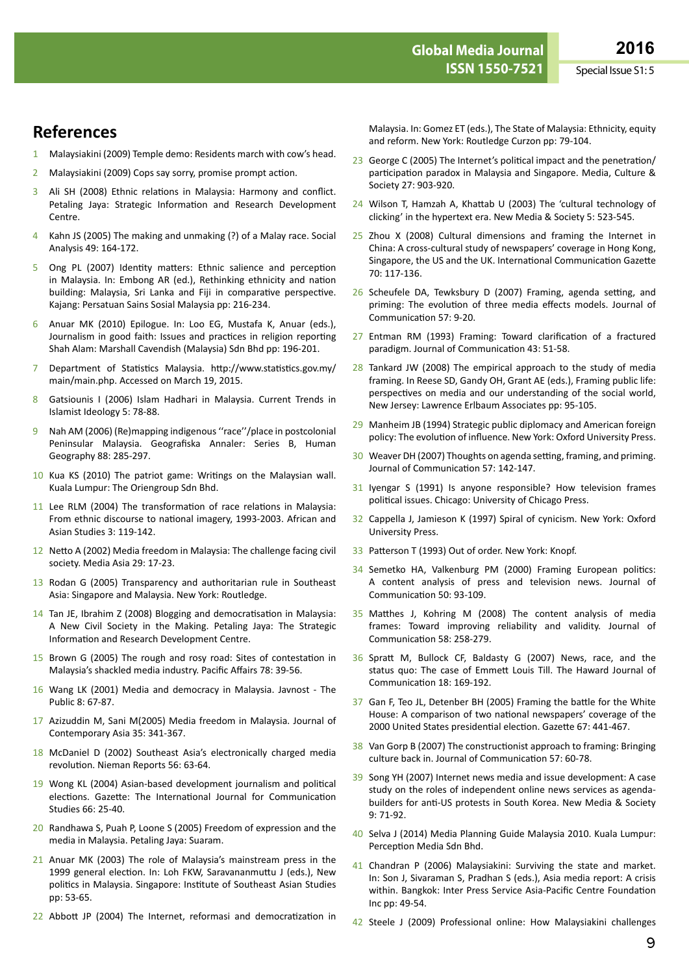# **References**

- 1 Malaysiakini (2009) Temple demo: Residents march with cow's head.
- 2 Malaysiakini (2009) Cops say sorry, promise prompt action.
- 3 Ali SH (2008) Ethnic relations in Malaysia: Harmony and conflict. Petaling Jaya: Strategic Information and Research Development Centre.
- 4 Kahn JS (2005) The making and unmaking (?) of a Malay race. Social Analysis 49: 164-172.
- 5 Ong PL (2007) Identity matters: Ethnic salience and perception in Malaysia. In: Embong AR (ed.), Rethinking ethnicity and nation building: Malaysia, Sri Lanka and Fiji in comparative perspective. Kajang: Persatuan Sains Sosial Malaysia pp: 216-234.
- 6 Anuar MK (2010) Epilogue. In: Loo EG, Mustafa K, Anuar (eds.), Journalism in good faith: Issues and practices in religion reporting Shah Alam: Marshall Cavendish (Malaysia) Sdn Bhd pp: 196-201.
- 7 Department of Statistics Malaysia. [http://www.statistics.gov.my/](http://www.statistics.gov.my/main/main.php. Accessed on March 19) [main/main.php.](http://www.statistics.gov.my/main/main.php. Accessed on March 19) Accessed on March 19, 2015.
- 8 Gatsiounis I (2006) Islam Hadhari in Malaysia. Current Trends in Islamist Ideology 5: 78-88.
- 9 Nah AM (2006) (Re)mapping indigenous "race"/place in postcolonial Peninsular Malaysia. Geografiska Annaler: Series B, Human Geography 88: 285-297.
- 10 Kua KS (2010) The patriot game: Writings on the Malaysian wall. Kuala Lumpur: The Oriengroup Sdn Bhd.
- 11 Lee RLM (2004) The transformation of race relations in Malaysia: From ethnic discourse to national imagery, 1993-2003. African and Asian Studies 3: 119-142.
- 12 Netto A (2002) Media freedom in Malaysia: The challenge facing civil society. Media Asia 29: 17-23.
- 13 Rodan G (2005) Transparency and authoritarian rule in Southeast Asia: Singapore and Malaysia. New York: Routledge.
- 14 Tan JE, Ibrahim Z (2008) Blogging and democratisation in Malaysia: A New Civil Society in the Making. Petaling Jaya: The Strategic Information and Research Development Centre.
- 15 Brown G (2005) The rough and rosy road: Sites of contestation in Malaysia's shackled media industry. Pacific Affairs 78: 39-56.
- 16 Wang LK (2001) Media and democracy in Malaysia. Javnost The Public 8: 67-87.
- 17 Azizuddin M, Sani M(2005) Media freedom in Malaysia. Journal of Contemporary Asia 35: 341-367.
- 18 McDaniel D (2002) Southeast Asia's electronically charged media revolution. Nieman Reports 56: 63-64.
- 19 Wong KL (2004) Asian-based development journalism and political elections. Gazette: The International Journal for Communication Studies 66: 25-40.
- 20 Randhawa S, Puah P, Loone S (2005) Freedom of expression and the media in Malaysia. Petaling Jaya: Suaram.
- 21 Anuar MK (2003) The role of Malaysia's mainstream press in the 1999 general election. In: Loh FKW, Saravananmuttu J (eds.), New politics in Malaysia. Singapore: Institute of Southeast Asian Studies pp: 53-65.
- 22 Abbott JP (2004) The Internet, reformasi and democratization in

Malaysia. In: Gomez ET (eds.), The State of Malaysia: Ethnicity, equity and reform. New York: Routledge Curzon pp: 79-104.

- 23 George C (2005) The Internet's political impact and the penetration/ participation paradox in Malaysia and Singapore. Media, Culture & Society 27: 903-920.
- 24 Wilson T, Hamzah A, Khattab U (2003) The 'cultural technology of clicking' in the hypertext era. New Media & Society 5: 523-545.
- 25 Zhou X (2008) Cultural dimensions and framing the Internet in China: A cross-cultural study of newspapers' coverage in Hong Kong, Singapore, the US and the UK. International Communication Gazette 70: 117-136.
- 26 Scheufele DA, Tewksbury D (2007) Framing, agenda setting, and priming: The evolution of three media effects models. Journal of Communication 57: 9-20.
- 27 Entman RM (1993) Framing: Toward clarification of a fractured paradigm. Journal of Communication 43: 51-58.
- 28 Tankard JW (2008) The empirical approach to the study of media framing. In Reese SD, Gandy OH, Grant AE (eds.), Framing public life: perspectives on media and our understanding of the social world, New Jersey: Lawrence Erlbaum Associates pp: 95-105.
- 29 Manheim JB (1994) Strategic public diplomacy and American foreign policy: The evolution of influence. New York: Oxford University Press.
- 30 Weaver DH (2007) Thoughts on agenda setting, framing, and priming. Journal of Communication 57: 142-147.
- 31 Iyengar S (1991) Is anyone responsible? How television frames political issues. Chicago: University of Chicago Press.
- 32 Cappella J, Jamieson K (1997) Spiral of cynicism. New York: Oxford University Press.
- 33 Patterson T (1993) Out of order. New York: Knopf.
- 34 Semetko HA, Valkenburg PM (2000) Framing European politics: A content analysis of press and television news. Journal of Communication 50: 93-109.
- 35 Matthes J, Kohring M (2008) The content analysis of media frames: Toward improving reliability and validity. Journal of Communication 58: 258-279.
- 36 Spratt M, Bullock CF, Baldasty G (2007) News, race, and the status quo: The case of Emmett Louis Till. The Haward Journal of Communication 18: 169-192.
- 37 Gan F, Teo JL, Detenber BH (2005) Framing the battle for the White House: A comparison of two national newspapers' coverage of the 2000 United States presidential election. Gazette 67: 441-467.
- 38 Van Gorp B (2007) The constructionist approach to framing: Bringing culture back in. Journal of Communication 57: 60-78.
- 39 Song YH (2007) Internet news media and issue development: A case study on the roles of independent online news services as agendabuilders for anti-US protests in South Korea. New Media & Society 9: 71-92.
- 40 Selva J (2014) Media Planning Guide Malaysia 2010. Kuala Lumpur: Perception Media Sdn Bhd.
- 41 Chandran P (2006) Malaysiakini: Surviving the state and market. In: Son J, Sivaraman S, Pradhan S (eds.), Asia media report: A crisis within. Bangkok: Inter Press Service Asia-Pacific Centre Foundation Inc pp: 49-54.
- 42 Steele J (2009) Professional online: How Malaysiakini challenges